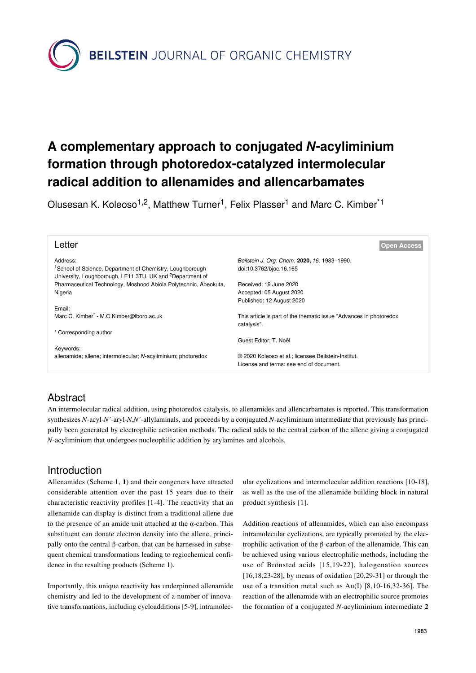**BEILSTEIN** JOURNAL OF ORGANIC CHEMISTRY

# **A complementary approach to conjugated** *N***-acyliminium formation through photoredox-catalyzed intermolecular radical addition to allenamides and allencarbamates**

Olusesan K. Koleoso<sup>1,2</sup>, Matthew Turner<sup>1</sup>, Felix Plasser<sup>1</sup> and Marc C. Kimber<sup>\*1</sup>

| Letter                                                                                                                                         | <b>Open Access</b>                                                                 |
|------------------------------------------------------------------------------------------------------------------------------------------------|------------------------------------------------------------------------------------|
| Address:                                                                                                                                       | Beilstein J. Org. Chem. 2020, 16, 1983-1990.                                       |
| <sup>1</sup> School of Science, Department of Chemistry, Loughborough<br>University, Loughborough, LE11 3TU, UK and <sup>2</sup> Department of | doi:10.3762/bjoc.16.165                                                            |
| Pharmaceutical Technology, Moshood Abiola Polytechnic, Abeokuta,                                                                               | Received: 19 June 2020                                                             |
| Nigeria                                                                                                                                        | Accepted: 05 August 2020                                                           |
|                                                                                                                                                | Published: 12 August 2020                                                          |
| Email:                                                                                                                                         |                                                                                    |
| Marc C. Kimber <sup>®</sup> - M.C. Kimber@lboro.ac.uk                                                                                          | This article is part of the thematic issue "Advances in photoredox"<br>catalysis". |
| * Corresponding author                                                                                                                         |                                                                                    |
|                                                                                                                                                | Guest Editor: T. Noël                                                              |
| Keywords:                                                                                                                                      |                                                                                    |
| allenamide; allene; intermolecular; N-acyliminium; photoredox                                                                                  | © 2020 Koleoso et al.; licensee Beilstein-Institut.                                |
|                                                                                                                                                | License and terms: see end of document.                                            |

# Abstract

An intermolecular radical addition, using photoredox catalysis, to allenamides and allencarbamates is reported. This transformation synthesizes *N*-acyl-*N'*-aryl-*N*,*N'*-allylaminals, and proceeds by a conjugated *N*-acyliminium intermediate that previously has principally been generated by electrophilic activation methods. The radical adds to the central carbon of the allene giving a conjugated *N*-acyliminium that undergoes nucleophilic addition by arylamines and alcohols.

### Introduction

Allenamides ([Scheme 1](#page-1-0), **1**) and their congeners have attracted considerable attention over the past 15 years due to their characteristic reactivity profiles [\[1-4\]](#page-5-0). The reactivity that an allenamide can display is distinct from a traditional allene due to the presence of an amide unit attached at the α-carbon. This substituent can donate electron density into the allene, principally onto the central β-carbon, that can be harnessed in subsequent chemical transformations leading to regiochemical confidence in the resulting products [\(Scheme 1\)](#page-1-0).

Importantly, this unique reactivity has underpinned allenamide chemistry and led to the development of a number of innovative transformations, including cycloadditions [\[5-9\]](#page-5-1), intramolecular cyclizations and intermolecular addition reactions [\[10-18\]](#page-5-2), as well as the use of the allenamide building block in natural product synthesis [\[1\]](#page-5-0).

Addition reactions of allenamides, which can also encompass intramolecular cyclizations, are typically promoted by the electrophilic activation of the β-carbon of the allenamide. This can be achieved using various electrophilic methods, including the use of Brönsted acids [\[15,19-22\]](#page-6-0), halogenation sources [\[16,18,23-28\],](#page-6-1) by means of oxidation [\[20,29-31\]](#page-6-2) or through the use of a transition metal such as Au(I) [\[8,10-16,32-36\]](#page-5-3). The reaction of the allenamide with an electrophilic source promotes the formation of a conjugated *N*-acyliminium intermediate **2**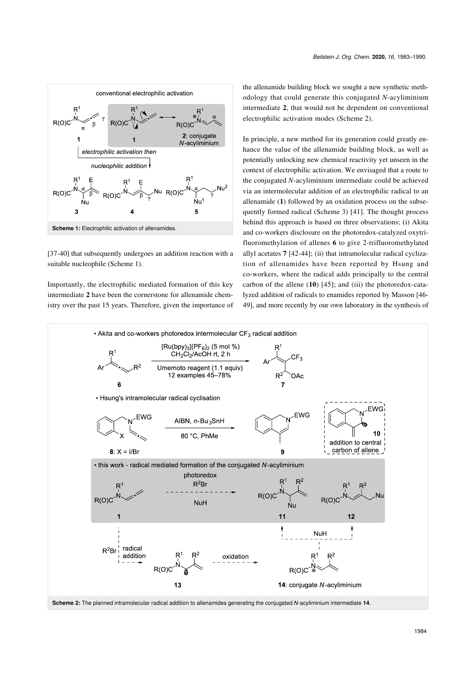<span id="page-1-0"></span>

[\[37-40\]](#page-6-3) that subsequently undergoes an addition reaction with a suitable nucleophile ([Scheme 1](#page-1-0)).

Importantly, the electrophilic mediated formation of this key intermediate **2** have been the cornerstone for allenamide chemistry over the past 15 years. Therefore, given the importance of the allenamide building block we sought a new synthetic methodology that could generate this conjugated *N*-acyliminium intermediate **2**, that would not be dependent on conventional electrophilic activation modes [\(Scheme 2\)](#page-1-1).

In principle, a new method for its generation could greatly enhance the value of the allenamide building block, as well as potentially unlocking new chemical reactivity yet unseen in the context of electrophilic activation. We envisaged that a route to the conjugated *N*-acyliminium intermediate could be achieved via an intermolecular addition of an electrophilic radical to an allenamide (**1**) followed by an oxidation process on the subsequently formed radical ([Scheme 3](#page-2-0)) [\[41\].](#page-6-4) The thought process behind this approach is based on three observations; (i) Akita and co-workers disclosure on the photoredox-catalyzed oxytrifluoromethylation of allenes **6** to give 2-trifluoromethylated allyl acetates **7** [\[42-44\]](#page-6-5); (ii) that intramolecular radical cyclization of allenamides have been reported by Hsung and co-workers, where the radical adds principally to the central carbon of the allene (**10**) [\[45\]](#page-6-6); and (iii) the photoredox-catalyzed addition of radicals to enamides reported by Masson [\[46-](#page-6-7) [49\],](#page-6-7) and more recently by our own laboratory in the synthesis of

<span id="page-1-1"></span>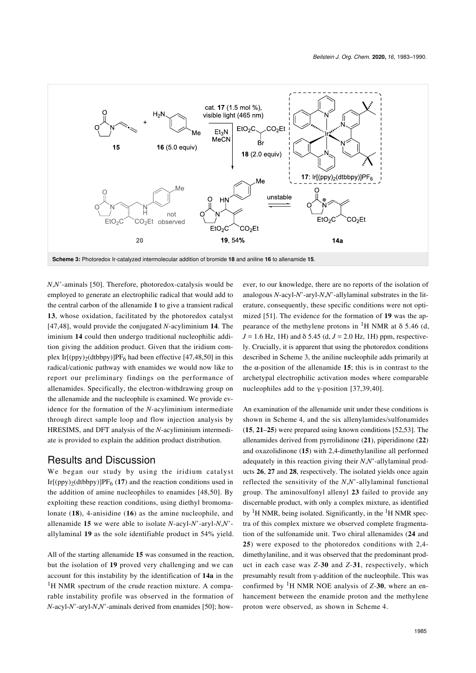<span id="page-2-0"></span>

*N*,*N'*-aminals [\[50\]](#page-6-8). Therefore, photoredox-catalysis would be employed to generate an electrophilic radical that would add to the central carbon of the allenamide **1** to give a transient radical **13**, whose oxidation, facilitated by the photoredox catalyst [\[47,48\]](#page-6-9), would provide the conjugated *N*-acyliminium **14**. The iminium **14** could then undergo traditional nucleophilic addition giving the addition product. Given that the iridium com-plex Ir[(ppy)<sub>2</sub>(dtbbpy)]PF<sub>6</sub> had been effective [\[47,48,50\]](#page-6-9) in this radical/cationic pathway with enamides we would now like to report our preliminary findings on the performance of allenamides. Specifically, the electron-withdrawing group on the allenamide and the nucleophile is examined. We provide evidence for the formation of the *N*-acyliminium intermediate through direct sample loop and flow injection analysis by HRESIMS, and DFT analysis of the *N*-acyliminium intermediate is provided to explain the addition product distribution.

#### Results and Discussion

We began our study by using the iridium catalyst  $Ir[(\text{ppy})_2(\text{dtbby})]PF_6(17)$  and the reaction conditions used in the addition of amine nucleophiles to enamides [\[48,50\]](#page-6-10). By exploiting these reaction conditions, using diethyl bromomalonate (**18**), 4-anisidine (**16**) as the amine nucleophile, and allenamide **15** we were able to isolate *N*-acyl-*N*'-aryl-*N*,*N*' allylaminal **19** as the sole identifiable product in 54% yield.

All of the starting allenamide **15** was consumed in the reaction, but the isolation of **19** proved very challenging and we can account for this instability by the identification of **14a** in the <sup>1</sup>H NMR spectrum of the crude reaction mixture. A comparable instability profile was observed in the formation of *N*-acyl-*N*'-aryl-*N*,*N*'-aminals derived from enamides [\[50\];](#page-6-8) how-

ever, to our knowledge, there are no reports of the isolation of analogous *N*-acyl-*N*'-aryl-*N*,*N*'-allylaminal substrates in the literature, consequently, these specific conditions were not optimized [\[51\]](#page-6-11). The evidence for the formation of **19** was the appearance of the methylene protons in <sup>1</sup>H NMR at  $\delta$  5.46 (d,  $J = 1.6$  Hz, 1H) and  $\delta$  5.45 (d,  $J = 2.0$  Hz, 1H) ppm, respectively. Crucially, it is apparent that using the photoredox conditions described in [Scheme 3](#page-2-0), the aniline nucleophile adds primarily at the  $\alpha$ -position of the allenamide 15; this is in contrast to the archetypal electrophilic activation modes where comparable nucleophiles add to the γ-position [\[37,39,40\]](#page-6-3).

An examination of the allenamide unit under these conditions is shown in [Scheme 4](#page-3-0), and the six allenylamides/sulfonamides (**15**, **21**–**25**) were prepared using known conditions [\[52,53\].](#page-6-12) The allenamides derived from pyrrolidinone (**21**), piperidinone (**22**) and oxazolidinone (**15**) with 2,4-dimethylaniline all performed adequately in this reaction giving their *N*,*N*'-allylaminal products **26**, **27** and **28**, respectively. The isolated yields once again reflected the sensitivity of the *N*,*N*'-allylaminal functional group. The aminosulfonyl allenyl **23** failed to provide any discernable product, with only a complex mixture, as identified by  ${}^{1}H$  NMR, being isolated. Significantly, in the  ${}^{1}H$  NMR spectra of this complex mixture we observed complete fragmentation of the sulfonamide unit. Two chiral allenamides (**24** and **25**) were exposed to the photoredox conditions with 2,4 dimethylaniline, and it was observed that the predominant product in each case was *Z*-**30** and *Z*-**31**, respectively, which presumably result from γ-addition of the nucleophile. This was confirmed by 1H NMR NOE analysis of *Z*-**30**, where an enhancement between the enamide proton and the methylene proton were observed, as shown in [Scheme 4.](#page-3-0)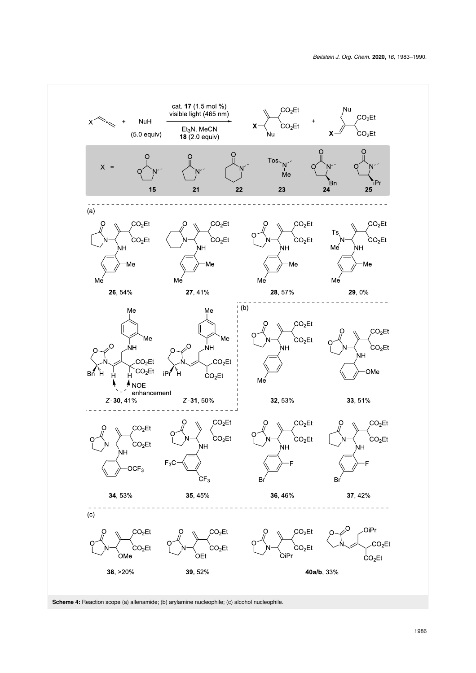<span id="page-3-0"></span>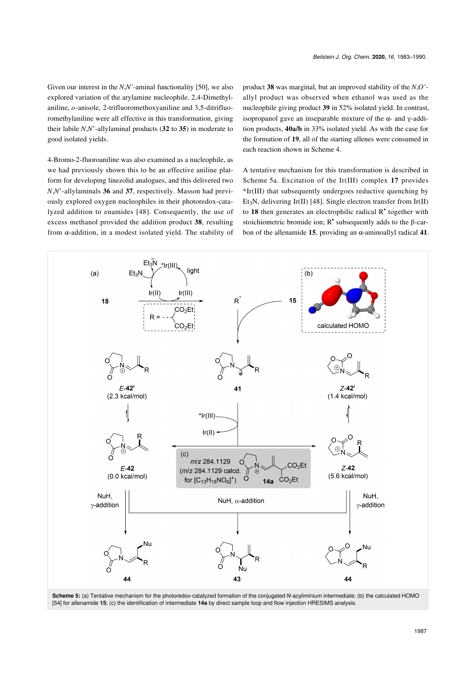Given our interest in the *N*,*N'*-aminal functionality [\[50\],](#page-6-8) we also explored variation of the arylamine nucleophile. 2,4-Dimethylaniline, *o*-anisole, 2-trifluoromethoxyaniline and 3,5-ditrifluoromethylaniline were all effective in this transformation, giving their labile *N*,*N*'-allylaminal products (**32** to **35**) in moderate to good isolated yields.

4-Bromo-2-fluoroaniline was also examined as a nucleophile, as we had previously shown this to be an effective aniline platform for developing linezolid analogues, and this delivered two *N*,*N*'-allylaminals **36** and **37**, respectively. Masson had previously explored oxygen nucleophiles in their photoredox-catalyzed addition to enamides [\[48\]](#page-6-10). Consequently, the use of excess methanol provided the addition product **38**, resulting from α-addition, in a modest isolated yield. The stability of

product **38** was marginal, but an improved stability of the *N*,*O'* allyl product was observed when ethanol was used as the nucleophile giving product **39** in 52% isolated yield. In contrast, isopropanol gave an inseparable mixture of the α- and γ-addition products, **40a/b** in 33% isolated yield. As with the case for the formation of **19**, all of the starting allenes were consumed in each reaction shown in [Scheme 4](#page-3-0).

A tentative mechanism for this transformation is described in [Scheme 5a](#page-4-0). Excitation of the Ir(III) complex **17** provides \*Ir(III) that subsequently undergoes reductive quenching by Et3N, delivering Ir(II) [\[48\]](#page-6-10). Single electron transfer from Ir(II) to **18** then generates an electrophilic radical R• together with stoichiometric bromide ion;  $R^*$  subsequently adds to the  $\beta$ -carbon of the allenamide **15**, providing an α-aminoallyl radical **41**.

<span id="page-4-0"></span>

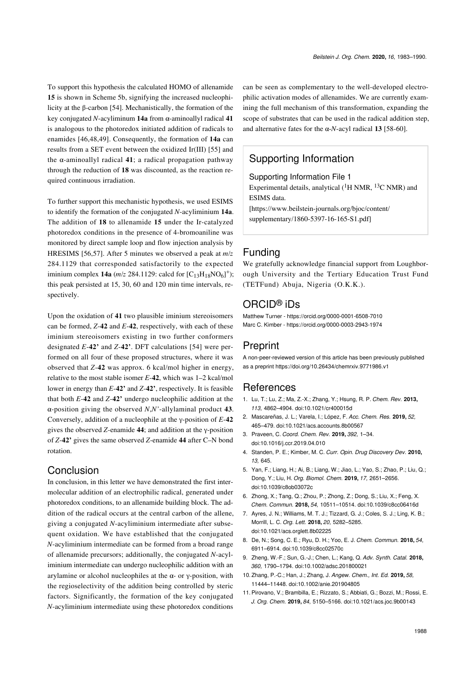To support this hypothesis the calculated HOMO of allenamide **15** is shown in [Scheme 5b](#page-4-0), signifying the increased nucleophilicity at the β-carbon [\[54\]](#page-6-13). Mechanistically, the formation of the key conjugated *N*-acyliminum **14a** from α-aminoallyl radical **41** is analogous to the photoredox initiated addition of radicals to enamides [\[46,48,49\]](#page-6-7). Consequently, the formation of **14a** can results from a SET event between the oxidized Ir(III) [\[55\]](#page-6-14) and the α-aminoallyl radical **41**; a radical propagation pathway through the reduction of **18** was discounted, as the reaction required continuous irradiation.

To further support this mechanistic hypothesis, we used ESIMS to identify the formation of the conjugated *N*-acyliminium **14a**. The addition of **18** to allenamide **15** under the Ir-catalyzed photoredox conditions in the presence of 4-bromoaniline was monitored by direct sample loop and flow injection analysis by HRESIMS [\[56,57\]](#page-6-15). After 5 minutes we observed a peak at *m*/*z* 284.1129 that corresponded satisfactorily to the expected iminium complex **14a**  $(m/z 284.1129$ : calcd for  $[C_{13}H_{18}NO_6]^+$ ; this peak persisted at 15, 30, 60 and 120 min time intervals, respectively.

Upon the oxidation of **41** two plausible iminium stereoisomers can be formed, *Z*-**42** and *E*-**42**, respectively, with each of these iminium stereoisomers existing in two further conformers designated *E*-**42'** and *Z*-**42'**. DFT calculations [\[54\]](#page-6-13) were performed on all four of these proposed structures, where it was observed that *Z*-**42** was approx. 6 kcal/mol higher in energy, relative to the most stable isomer *E*-**42**, which was 1–2 kcal/mol lower in energy than *E*-**42'** and *Z*-**42'**, respectively. It is feasible that both *E*-**42** and *Z*-**42'** undergo nucleophilic addition at the α-position giving the observed *N*,*N'*-allylaminal product **43**. Conversely, addition of a nucleophile at the γ-position of *E*-**42** gives the observed *Z*-enamide **44**; and addition at the γ-position of *Z*-**42'** gives the same observed *Z*-enamide **44** after C–N bond rotation.

#### Conclusion

In conclusion, in this letter we have demonstrated the first intermolecular addition of an electrophilic radical, generated under photoredox conditions, to an allenamide building block. The addition of the radical occurs at the central carbon of the allene, giving a conjugated *N*-acyliminium intermediate after subsequent oxidation. We have established that the conjugated *N*-acyliminium intermediate can be formed from a broad range of allenamide precursors; additionally, the conjugated *N*-acyliminium intermediate can undergo nucleophilic addition with an arylamine or alcohol nucleophiles at the α- or γ-position, with the regioselectivity of the addition being controlled by steric factors. Significantly, the formation of the key conjugated *N*-acyliminium intermediate using these photoredox conditions

can be seen as complementary to the well-developed electrophilic activation modes of allenamides. We are currently examining the full mechanism of this transformation, expanding the scope of substrates that can be used in the radical addition step, and alternative fates for the  $\alpha$ -*N*-acyl radical **13** [\[58-60\]](#page-6-16).

## Supporting Information

<span id="page-5-4"></span>Supporting Information File 1

Experimental details, analytical  $(^1H$  NMR,  $^{13}C$  NMR) and ESIMS data.

[\[https://www.beilstein-journals.org/bjoc/content/](https://www.beilstein-journals.org/bjoc/content/supplementary/1860-5397-16-165-S1.pdf) [supplementary/1860-5397-16-165-S1.pdf\]](https://www.beilstein-journals.org/bjoc/content/supplementary/1860-5397-16-165-S1.pdf)

#### Funding

We gratefully acknowledge financial support from Loughborough University and the Tertiary Education Trust Fund (TETFund) Abuja, Nigeria (O.K.K.).

#### ORCID® iDs

Matthew Turner - <https://orcid.org/0000-0001-6508-7010> Marc C. Kimber -<https://orcid.org/0000-0003-2943-1974>

#### Preprint

A non-peer-reviewed version of this article has been previously published as a preprint<https://doi.org/10.26434/chemrxiv.9771986.v1>

#### **References**

- <span id="page-5-0"></span>1. Lu, T.; Lu, Z.; Ma, Z.-X.; Zhang, Y.; Hsung, R. P. *Chem. Rev.* **2013,** *113,* 4862–4904. [doi:10.1021/cr400015d](https://doi.org/10.1021%2Fcr400015d)
- 2. Mascareñas, J. L.; Varela, I.; López, F. *Acc. Chem. Res.* **2019,** *52,* 465–479. [doi:10.1021/acs.accounts.8b00567](https://doi.org/10.1021%2Facs.accounts.8b00567)
- 3. Praveen, C. *Coord. Chem. Rev.* **2019,** *392,* 1–34. [doi:10.1016/j.ccr.2019.04.010](https://doi.org/10.1016%2Fj.ccr.2019.04.010)
- 4. Standen, P. E.; Kimber, M. C. *Curr. Opin. Drug Discovery Dev.* **2010,** *13,* 645.
- <span id="page-5-1"></span>5. Yan, F.; Liang, H.; Ai, B.; Liang, W.; Jiao, L.; Yao, S.; Zhao, P.; Liu, Q.; Dong, Y.; Liu, H. *Org. Biomol. Chem.* **2019,** *17,* 2651–2656. [doi:10.1039/c8ob03072c](https://doi.org/10.1039%2Fc8ob03072c)
- 6. Zhong, X.; Tang, Q.; Zhou, P.; Zhong, Z.; Dong, S.; Liu, X.; Feng, X. *Chem. Commun.* **2018,** *54,* 10511–10514. [doi:10.1039/c8cc06416d](https://doi.org/10.1039%2Fc8cc06416d)
- 7. Ayres, J. N.; Williams, M. T. J.; Tizzard, G. J.; Coles, S. J.; Ling, K. B.; Morrill, L. C. *Org. Lett.* **2018,** *20,* 5282–5285. [doi:10.1021/acs.orglett.8b02225](https://doi.org/10.1021%2Facs.orglett.8b02225)
- <span id="page-5-3"></span>8. De, N.; Song, C. E.; Ryu, D. H.; Yoo, E. J. *Chem. Commun.* **2018,** *54,* 6911–6914. [doi:10.1039/c8cc02570c](https://doi.org/10.1039%2Fc8cc02570c)
- 9. Zheng, W.-F.; Sun, G.-J.; Chen, L.; Kang, Q. *Adv. Synth. Catal.* **2018,** *360,* 1790–1794. [doi:10.1002/adsc.201800021](https://doi.org/10.1002%2Fadsc.201800021)
- <span id="page-5-2"></span>10.Zhang, P.-C.; Han, J.; Zhang, J. *Angew. Chem., Int. Ed.* **2019,** *58,* 11444–11448. [doi:10.1002/anie.201904805](https://doi.org/10.1002%2Fanie.201904805)
- 11.Pirovano, V.; Brambilla, E.; Rizzato, S.; Abbiati, G.; Bozzi, M.; Rossi, E. *J. Org. Chem.* **2019,** *84,* 5150–5166. [doi:10.1021/acs.joc.9b00143](https://doi.org/10.1021%2Facs.joc.9b00143)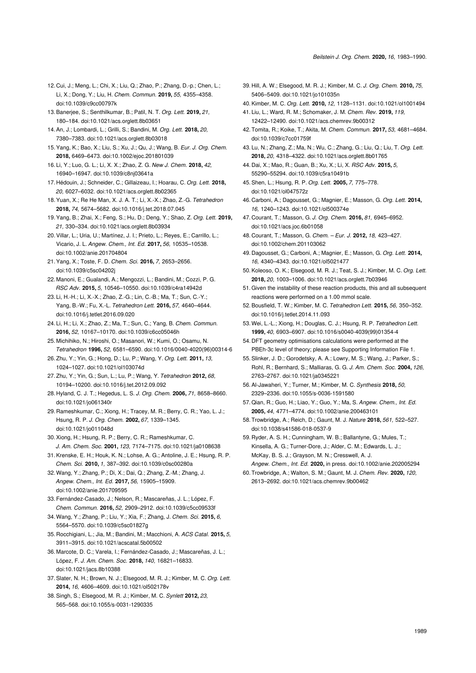- 12. Cui, J.; Meng, L.; Chi, X.; Liu, Q.; Zhao, P.; Zhang, D.-p.; Chen, L.; Li, X.; Dong, Y.; Liu, H. *Chem. Commun.* **2019,** *55,* 4355–4358. [doi:10.1039/c9cc00797k](https://doi.org/10.1039%2Fc9cc00797k)
- 13.Banerjee, S.; Senthilkumar, B.; Patil, N. T. *Org. Lett.* **2019,** *21,* 180–184. [doi:10.1021/acs.orglett.8b03651](https://doi.org/10.1021%2Facs.orglett.8b03651)
- 14.An, J.; Lombardi, L.; Grilli, S.; Bandini, M. *Org. Lett.* **2018,** *20,* 7380–7383. [doi:10.1021/acs.orglett.8b03018](https://doi.org/10.1021%2Facs.orglett.8b03018)
- <span id="page-6-0"></span>15.Yang, K.; Bao, X.; Liu, S.; Xu, J.; Qu, J.; Wang, B. *Eur. J. Org. Chem.* **2018,** 6469–6473. [doi:10.1002/ejoc.201801039](https://doi.org/10.1002%2Fejoc.201801039)
- <span id="page-6-1"></span>16. Li, Y.; Luo, G. L.; Li, X. X.; Zhao, Z. G. *New J. Chem.* **2018,** *42,* 16940–16947. [doi:10.1039/c8nj03641a](https://doi.org/10.1039%2Fc8nj03641a)
- 17. Hédouin, J.; Schneider, C.; Gillaizeau, I.; Hoarau, C. *Org. Lett.* **2018,** *20,* 6027–6032. [doi:10.1021/acs.orglett.8b02365](https://doi.org/10.1021%2Facs.orglett.8b02365)
- 18.Yuan, X.; Re He Man, X. J. A. T.; Li, X.-X.; Zhao, Z.-G. *Tetrahedron* **2018,** *74,* 5674–5682. [doi:10.1016/j.tet.2018.07.045](https://doi.org/10.1016%2Fj.tet.2018.07.045)
- 19.Yang, B.; Zhai, X.; Feng, S.; Hu, D.; Deng, Y.; Shao, Z. *Org. Lett.* **2019,** *21,* 330–334. [doi:10.1021/acs.orglett.8b03934](https://doi.org/10.1021%2Facs.orglett.8b03934)
- <span id="page-6-2"></span>20.Villar, L.; Uria, U.; Martínez, J. I.; Prieto, L.; Reyes, E.; Carrillo, L.; Vicario, J. L. *Angew. Chem., Int. Ed.* **2017,** *56,* 10535–10538. [doi:10.1002/anie.201704804](https://doi.org/10.1002%2Fanie.201704804)
- 21.Yang, X.; Toste, F. D. *Chem. Sci.* **2016,** *7,* 2653–2656. [doi:10.1039/c5sc04202j](https://doi.org/10.1039%2Fc5sc04202j)
- 22. Manoni, E.; Gualandi, A.; Mengozzi, L.; Bandini, M.; Cozzi, P. G. *RSC Adv.* **2015,** *5,* 10546–10550. [doi:10.1039/c4ra14942d](https://doi.org/10.1039%2Fc4ra14942d)
- 23. Li, H.-H.; Li, X.-X.; Zhao, Z.-G.; Lin, C.-B.; Ma, T.; Sun, C.-Y.; Yang, B.-W.; Fu, X.-L. *Tetrahedron Lett.* **2016,** *57,* 4640–4644. [doi:10.1016/j.tetlet.2016.09.020](https://doi.org/10.1016%2Fj.tetlet.2016.09.020)
- 24. Li, H.; Li, X.; Zhao, Z.; Ma, T.; Sun, C.; Yang, B. *Chem. Commun.* **2016,** *52,* 10167–10170. [doi:10.1039/c6cc05046h](https://doi.org/10.1039%2Fc6cc05046h)
- 25. Michihiko, N.; Hiroshi, O.; Masanori, W.; Kumi, O.; Osamu, N. *Tetrahedron* **1996,** *52,* 6581–6590. [doi:10.1016/0040-4020\(96\)00314-6](https://doi.org/10.1016%2F0040-4020%2896%2900314-6)
- 26.Zhu, Y.; Yin, G.; Hong, D.; Lu, P.; Wang, Y. *Org. Lett.* **2011,** *13,* 1024–1027. [doi:10.1021/ol103074d](https://doi.org/10.1021%2Fol103074d)
- 27.Zhu, Y.; Yin, G.; Sun, L.; Lu, P.; Wang, Y. *Tetrahedron* **2012,** *68,* 10194–10200. [doi:10.1016/j.tet.2012.09.092](https://doi.org/10.1016%2Fj.tet.2012.09.092)
- 28. Hyland, C. J. T.; Hegedus, L. S. *J. Org. Chem.* **2006,** *71,* 8658–8660. [doi:10.1021/jo061340r](https://doi.org/10.1021%2Fjo061340r)
- 29. Rameshkumar, C.; Xiong, H.; Tracey, M. R.; Berry, C. R.; Yao, L. J.; Hsung, R. P. *J. Org. Chem.* **2002,** *67,* 1339–1345. [doi:10.1021/jo011048d](https://doi.org/10.1021%2Fjo011048d)
- 30.Xiong, H.; Hsung, R. P.; Berry, C. R.; Rameshkumar, C. *J. Am. Chem. Soc.* **2001,** *123,* 7174–7175. [doi:10.1021/ja0108638](https://doi.org/10.1021%2Fja0108638)
- 31.Krenske, E. H.; Houk, K. N.; Lohse, A. G.; Antoline, J. E.; Hsung, R. P. *Chem. Sci.* **2010,** *1,* 387–392. [doi:10.1039/c0sc00280a](https://doi.org/10.1039%2Fc0sc00280a)
- 32.Wang, Y.; Zhang, P.; Di, X.; Dai, Q.; Zhang, Z.-M.; Zhang, J. *Angew. Chem., Int. Ed.* **2017,** *56,* 15905–15909.
- [doi:10.1002/anie.201709595](https://doi.org/10.1002%2Fanie.201709595) 33.Fernández-Casado, J.; Nelson, R.; Mascareñas, J. L.; López, F. *Chem. Commun.* **2016,** *52,* 2909–2912. [doi:10.1039/c5cc09533f](https://doi.org/10.1039%2Fc5cc09533f)
- 34.Wang, Y.; Zhang, P.; Liu, Y.; Xia, F.; Zhang, J. *Chem. Sci.* **2015,** *6,* 5564–5570. [doi:10.1039/c5sc01827g](https://doi.org/10.1039%2Fc5sc01827g)
- 35. Rocchigiani, L.; Jia, M.; Bandini, M.; Macchioni, A. *ACS Catal.* **2015,** *5,* 3911–3915. [doi:10.1021/acscatal.5b00502](https://doi.org/10.1021%2Facscatal.5b00502)
- 36. Marcote, D. C.; Varela, I.; Fernández-Casado, J.; Mascareñas, J. L.; López, F. *J. Am. Chem. Soc.* **2018,** *140,* 16821–16833. [doi:10.1021/jacs.8b10388](https://doi.org/10.1021%2Fjacs.8b10388)
- <span id="page-6-3"></span>37.Slater, N. H.; Brown, N. J.; Elsegood, M. R. J.; Kimber, M. C. *Org. Lett.* **2014,** *16,* 4606–4609. [doi:10.1021/ol502178v](https://doi.org/10.1021%2Fol502178v)
- 38.Singh, S.; Elsegood, M. R. J.; Kimber, M. C. *Synlett* **2012,** *23,* 565–568. [doi:10.1055/s-0031-1290335](https://doi.org/10.1055%2Fs-0031-1290335)
- 39. Hill, A. W.; Elsegood, M. R. J.; Kimber, M. C. *J. Org. Chem.* **2010,** *75,* 5406–5409. [doi:10.1021/jo101035n](https://doi.org/10.1021%2Fjo101035n)
- 40.Kimber, M. C. *Org. Lett.* **2010,** *12,* 1128–1131. [doi:10.1021/ol1001494](https://doi.org/10.1021%2Fol1001494)
- <span id="page-6-4"></span>41. Liu, L.; Ward, R. M.; Schomaker, J. M. *Chem. Rev.* **2019,** *119,* 12422–12490. [doi:10.1021/acs.chemrev.9b00312](https://doi.org/10.1021%2Facs.chemrev.9b00312)
- <span id="page-6-5"></span>42.Tomita, R.; Koike, T.; Akita, M. *Chem. Commun.* **2017,** *53,* 4681–4684. [doi:10.1039/c7cc01759f](https://doi.org/10.1039%2Fc7cc01759f)
- 43. Lu, N.; Zhang, Z.; Ma, N.; Wu, C.; Zhang, G.; Liu, Q.; Liu, T. *Org. Lett.* **2018,** *20,* 4318–4322. [doi:10.1021/acs.orglett.8b01765](https://doi.org/10.1021%2Facs.orglett.8b01765)
- 44. Dai, X.; Mao, R.; Guan, B.; Xu, X.; Li, X. *RSC Adv.* **2015,** *5,* 55290–55294. [doi:10.1039/c5ra10491b](https://doi.org/10.1039%2Fc5ra10491b)
- <span id="page-6-6"></span>45.Shen, L.; Hsung, R. P. *Org. Lett.* **2005,** *7,* 775–778. [doi:10.1021/ol047572z](https://doi.org/10.1021%2Fol047572z)
- <span id="page-6-7"></span>46. Carboni, A.; Dagousset, G.; Magnier, E.; Masson, G. *Org. Lett.* **2014,** *16,* 1240–1243. [doi:10.1021/ol500374e](https://doi.org/10.1021%2Fol500374e)
- <span id="page-6-9"></span>47. Courant, T.; Masson, G. *J. Org. Chem.* **2016,** *81,* 6945–6952. [doi:10.1021/acs.joc.6b01058](https://doi.org/10.1021%2Facs.joc.6b01058)
- <span id="page-6-10"></span>48. Courant, T.; Masson, G. *Chem. – Eur. J.* **2012,** *18,* 423–427. [doi:10.1002/chem.201103062](https://doi.org/10.1002%2Fchem.201103062)
- 49. Dagousset, G.; Carboni, A.; Magnier, E.; Masson, G. *Org. Lett.* **2014,** *16,* 4340–4343. [doi:10.1021/ol5021477](https://doi.org/10.1021%2Fol5021477)
- <span id="page-6-8"></span>50.Koleoso, O. K.; Elsegood, M. R. J.; Teat, S. J.; Kimber, M. C. *Org. Lett.* **2018,** *20,* 1003–1006. [doi:10.1021/acs.orglett.7b03946](https://doi.org/10.1021%2Facs.orglett.7b03946)
- <span id="page-6-11"></span>51.Given the instability of these reaction products, this and all subsequent reactions were performed on a 1.00 mmol scale.
- <span id="page-6-12"></span>52.Bousfield, T. W.; Kimber, M. C. *Tetrahedron Lett.* **2015,** *56,* 350–352. [doi:10.1016/j.tetlet.2014.11.093](https://doi.org/10.1016%2Fj.tetlet.2014.11.093)
- 53.Wei, L.-L.; Xiong, H.; Douglas, C. J.; Hsung, R. P. *Tetrahedron Lett.* **1999,** *40,* 6903–6907. [doi:10.1016/s0040-4039\(99\)01354-4](https://doi.org/10.1016%2Fs0040-4039%2899%2901354-4)
- <span id="page-6-13"></span>54. DFT geometry optimisations calculations were performed at the PBEh-3c level of theory; please see [Supporting Information File 1.](#page-5-4)
- <span id="page-6-14"></span>55.Slinker, J. D.; Gorodetsky, A. A.; Lowry, M. S.; Wang, J.; Parker, S.; Rohl, R.; Bernhard, S.; Malliaras, G. G. *J. Am. Chem. Soc.* **2004,** *126,* 2763–2767. [doi:10.1021/ja0345221](https://doi.org/10.1021%2Fja0345221)
- <span id="page-6-15"></span>56.Al-Jawaheri, Y.; Turner, M.; Kimber, M. C. *Synthesis* **2018,** *50,* 2329–2336. [doi:10.1055/s-0036-1591580](https://doi.org/10.1055%2Fs-0036-1591580)
- 57.Qian, R.; Guo, H.; Liao, Y.; Guo, Y.; Ma, S. *Angew. Chem., Int. Ed.* **2005,** *44,* 4771–4774. [doi:10.1002/anie.200463101](https://doi.org/10.1002%2Fanie.200463101)
- <span id="page-6-16"></span>58.Trowbridge, A.; Reich, D.; Gaunt, M. J. *Nature* **2018,** *561,* 522–527. [doi:10.1038/s41586-018-0537-9](https://doi.org/10.1038%2Fs41586-018-0537-9)

59. Ryder, A. S. H.; Cunningham, W. B.; Ballantyne, G.; Mules, T.; Kinsella, A. G.; Turner-Dore, J.; Alder, C. M.; Edwards, L. J.; McKay, B. S. J.; Grayson, M. N.; Cresswell, A. J.

- *Angew. Chem., Int. Ed.* **2020,** in press. [doi:10.1002/anie.202005294](https://doi.org/10.1002%2Fanie.202005294)
- 60.Trowbridge, A.; Walton, S. M.; Gaunt, M. J. *Chem. Rev.* **2020,** *120,* 2613–2692. [doi:10.1021/acs.chemrev.9b00462](https://doi.org/10.1021%2Facs.chemrev.9b00462)